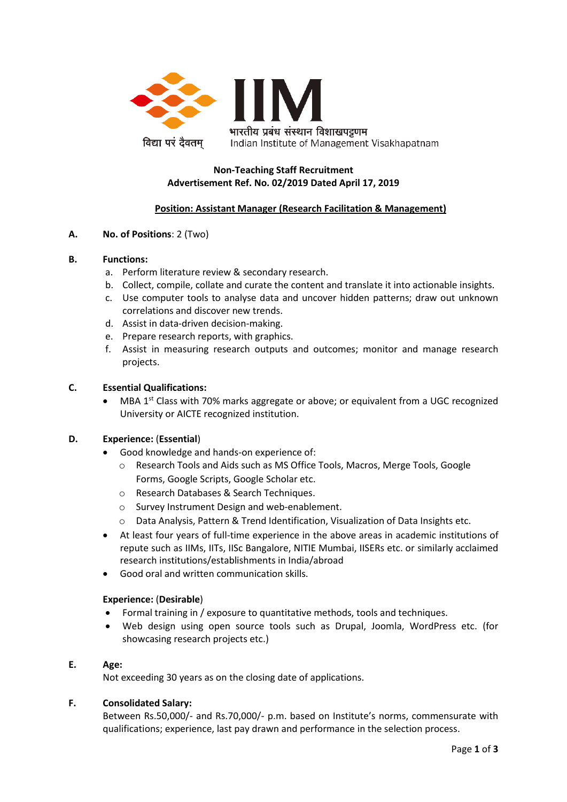

# **Non-Teaching Staff Recruitment Advertisement Ref. No. 02/2019 Dated April 17, 2019**

# **Position: Assistant Manager (Research Facilitation & Management)**

## **A. No. of Positions**: 2 (Two)

### **B. Functions:**

- a. Perform literature review & secondary research.
- b. Collect, compile, collate and curate the content and translate it into actionable insights.
- c. Use computer tools to analyse data and uncover hidden patterns; draw out unknown correlations and discover new trends.
- d. Assist in data-driven decision-making.
- e. Prepare research reports, with graphics.
- f. Assist in measuring research outputs and outcomes; monitor and manage research projects.

### **C. Essential Qualifications:**

MBA 1<sup>st</sup> Class with 70% marks aggregate or above; or equivalent from a UGC recognized University or AICTE recognized institution.

### **D. Experience:** (**Essential**)

- Good knowledge and hands-on experience of:
	- o Research Tools and Aids such as MS Office Tools, Macros, Merge Tools, Google Forms, Google Scripts, Google Scholar etc.
	- o Research Databases & Search Techniques.
	- o Survey Instrument Design and web-enablement.
	- o Data Analysis, Pattern & Trend Identification, Visualization of Data Insights etc.
- At least four years of full-time experience in the above areas in academic institutions of repute such as IIMs, IITs, IISc Bangalore, NITIE Mumbai, IISERs etc. or similarly acclaimed research institutions/establishments in India/abroad
- Good oral and written communication skills.

### **Experience:** (**Desirable**)

- Formal training in / exposure to quantitative methods, tools and techniques.
- Web design using open source tools such as Drupal, Joomla, WordPress etc. (for showcasing research projects etc.)

## **E. Age:**

Not exceeding 30 years as on the closing date of applications.

### **F. Consolidated Salary:**

Between Rs.50,000/- and Rs.70,000/- p.m. based on Institute's norms, commensurate with qualifications; experience, last pay drawn and performance in the selection process.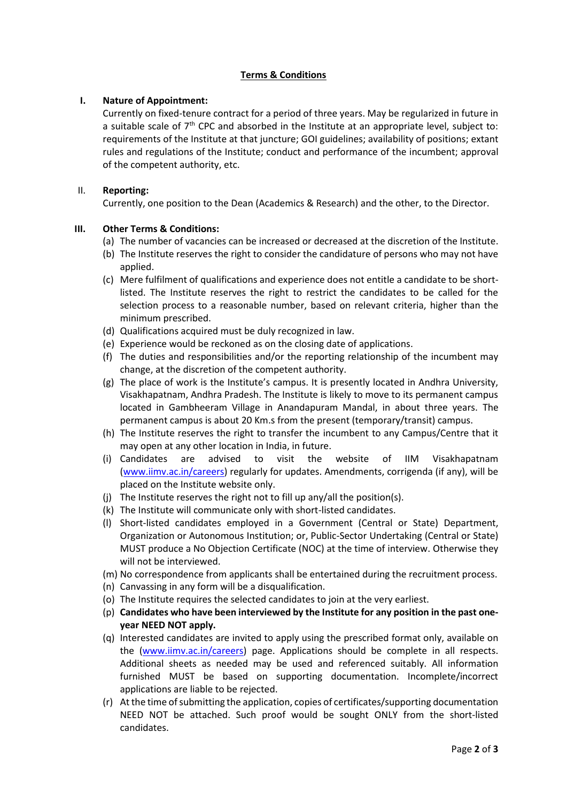# **Terms & Conditions**

## **I. Nature of Appointment:**

Currently on fixed-tenure contract for a period of three years. May be regularized in future in a suitable scale of  $7<sup>th</sup>$  CPC and absorbed in the Institute at an appropriate level, subject to: requirements of the Institute at that juncture; GOI guidelines; availability of positions; extant rules and regulations of the Institute; conduct and performance of the incumbent; approval of the competent authority, etc.

### II. **Reporting:**

Currently, one position to the Dean (Academics & Research) and the other, to the Director.

## **III. Other Terms & Conditions:**

- (a) The number of vacancies can be increased or decreased at the discretion of the Institute.
- (b) The Institute reserves the right to consider the candidature of persons who may not have applied.
- (c) Mere fulfilment of qualifications and experience does not entitle a candidate to be shortlisted. The Institute reserves the right to restrict the candidates to be called for the selection process to a reasonable number, based on relevant criteria, higher than the minimum prescribed.
- (d) Qualifications acquired must be duly recognized in law.
- (e) Experience would be reckoned as on the closing date of applications.
- (f) The duties and responsibilities and/or the reporting relationship of the incumbent may change, at the discretion of the competent authority.
- (g) The place of work is the Institute's campus. It is presently located in Andhra University, Visakhapatnam, Andhra Pradesh. The Institute is likely to move to its permanent campus located in Gambheeram Village in Anandapuram Mandal, in about three years. The permanent campus is about 20 Km.s from the present (temporary/transit) campus.
- (h) The Institute reserves the right to transfer the incumbent to any Campus/Centre that it may open at any other location in India, in future.
- (i) Candidates are advised to visit the website of IIM Visakhapatnam [\(www.iimv.ac.in/careers\)](http://www.iimv.ac.in/careers) regularly for updates. Amendments, corrigenda (if any), will be placed on the Institute website only.
- (j) The Institute reserves the right not to fill up any/all the position(s).
- (k) The Institute will communicate only with short-listed candidates.
- (l) Short-listed candidates employed in a Government (Central or State) Department, Organization or Autonomous Institution; or, Public-Sector Undertaking (Central or State) MUST produce a No Objection Certificate (NOC) at the time of interview. Otherwise they will not be interviewed.
- (m) No correspondence from applicants shall be entertained during the recruitment process.
- (n) Canvassing in any form will be a disqualification.
- (o) The Institute requires the selected candidates to join at the very earliest.
- (p) **Candidates who have been interviewed by the Institute for any position in the past oneyear NEED NOT apply.**
- (q) Interested candidates are invited to apply using the prescribed format only, available on the [\(www.iimv.ac.in/careers\)](http://www.iimv.ac.in/careers) page. Applications should be complete in all respects. Additional sheets as needed may be used and referenced suitably. All information furnished MUST be based on supporting documentation. Incomplete/incorrect applications are liable to be rejected.
- (r) At the time of submitting the application, copies of certificates/supporting documentation NEED NOT be attached. Such proof would be sought ONLY from the short-listed candidates.